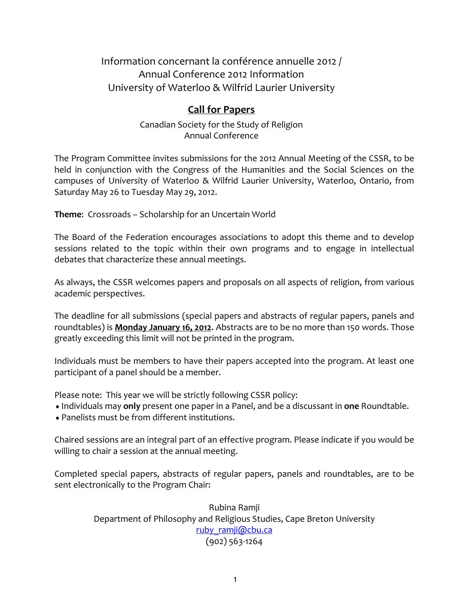Information concernant la conférence annuelle 2012 / Annual Conference 2012 Information University of Waterloo & Wilfrid Laurier University

## **Call for Papers**

Canadian Society for the Study of Religion Annual Conference

The Program Committee invites submissions for the 2012 Annual Meeting of the CSSR, to be held in conjunction with the Congress of the Humanities and the Social Sciences on the campuses of University of Waterloo & Wilfrid Laurier University, Waterloo, Ontario, from Saturday May 26 to Tuesday May 29, 2012.

**Theme:** Crossroads – Scholarship for an Uncertain World

The Board of the Federation encourages associations to adopt this theme and to develop sessions related to the topic within their own programs and to engage in intellectual debates that characterize these annual meetings.

As always, the CSSR welcomes papers and proposals on all aspects of religion, from various academic perspectives.

The deadline for all submissions (special papers and abstracts of regular papers, panels and roundtables) is **Monday January 16, 2012**. Abstracts are to be no more than 150 words. Those greatly exceeding this limit will not be printed in the program.

Individuals must be members to have their papers accepted into the program. At least one participant of a panel should be a member.

Please note: This year we will be strictly following CSSR policy:

- Individuals may only present one paper in a Panel, and be a discussant in one Roundtable.
- Panelists must be from different institutions.

Chaired sessions are an integral part of an effective program. Please indicate if you would be willing to chair a session at the annual meeting.

Completed special papers, abstracts of regular papers, panels and roundtables, are to be sent electronically to the Program Chair:

> Rubina Ramji Department of Philosophy and Religious Studies, Cape Breton University ruby ramji@cbu.ca  $(902)$  563-1264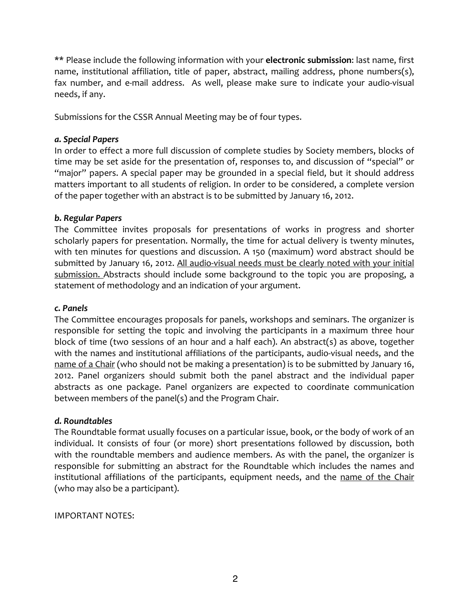\*\* Please include the following information with your **electronic submission**: last name, first name, institutional affiliation, title of paper, abstract, mailing address, phone numbers(s), fax number, and e-mail address. As well, please make sure to indicate your audio-visual needs, if any.

Submissions for the CSSR Annual Meeting may be of four types.

#### *a.#Special#Papers*

In order to effect a more full discussion of complete studies by Society members, blocks of time may be set aside for the presentation of, responses to, and discussion of "special" or "major" papers. A special paper may be grounded in a special field, but it should address matters important to all students of religion. In order to be considered, a complete version of the paper together with an abstract is to be submitted by January 16, 2012.

### *b.#Regular#Papers*

The Committee invites proposals for presentations of works in progress and shorter scholarly papers for presentation. Normally, the time for actual delivery is twenty minutes, with ten minutes for questions and discussion. A 150 (maximum) word abstract should be submitted by January 16, 2012. All audio-visual needs must be clearly noted with your initial submission. Abstracts should include some background to the topic you are proposing, a statement of methodology and an indication of your argument.

#### *c.#Panels*

The Committee encourages proposals for panels, workshops and seminars. The organizer is responsible for setting the topic and involving the participants in a maximum three hour block of time (two sessions of an hour and a half each). An abstract(s) as above, together with the names and institutional affiliations of the participants, audio-visual needs, and the name of a Chair (who should not be making a presentation) is to be submitted by January 16, 2012. Panel organizers should submit both the panel abstract and the individual paper abstracts as one package. Panel organizers are expected to coordinate communication between members of the panel(s) and the Program Chair.

## *d.#Roundtables*

The Roundtable format usually focuses on a particular issue, book, or the body of work of an individual. It consists of four (or more) short presentations followed by discussion, both with the roundtable members and audience members. As with the panel, the organizer is responsible for submitting an abstract for the Roundtable which includes the names and institutional affiliations of the participants, equipment needs, and the name of the Chair (who may also be a participant).

**IMPORTANT NOTES:**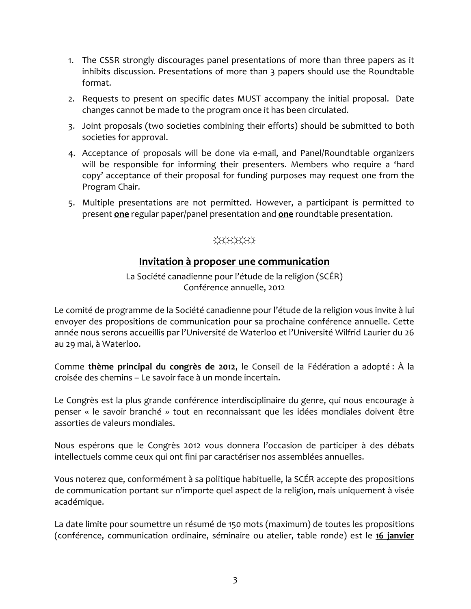- 1. The CSSR strongly discourages panel presentations of more than three papers as it inhibits discussion. Presentations of more than 3 papers should use the Roundtable format.
- 2. Requests to present on specific dates MUST accompany the initial proposal. Date changes cannot be made to the program once it has been circulated.
- 3. Joint proposals (two societies combining their efforts) should be submitted to both societies for approval.
- 4. Acceptance of proposals will be done via e-mail, and Panel/Roundtable organizers will be responsible for informing their presenters. Members who require a 'hard copy' acceptance of their proposal for funding purposes may request one from the Program Chair.
- 5. Multiple presentations are not permitted. However, a participant is permitted to present **one** regular paper/panel presentation and **one** roundtable presentation.

# ☼☼☼☼☼

## **Invitation à proposer une communication**

La Société canadienne pour l'étude de la religion (SCÉR) Conférence annuelle, 2012

Le comité de programme de la Société canadienne pour l'étude de la religion vous invite à lui envoyer des propositions de communication pour sa prochaine conférence annuelle. Cette année nous serons accueillis par l'Université de Waterloo et l'Université Wilfrid Laurier du 26 au 29 mai, à Waterloo.

Comme **thème principal du congrès de 2012**, le Conseil de la Fédération a adopté : À la croisée des chemins – Le savoir face à un monde incertain.

Le Congrès est la plus grande conférence interdisciplinaire du genre, qui nous encourage à penser « le savoir branché » tout en reconnaissant que les idées mondiales doivent être assorties de valeurs mondiales.

Nous espérons que le Congrès 2012 vous donnera l'occasion de participer à des débats intellectuels comme ceux qui ont fini par caractériser nos assemblées annuelles.

Vous noterez que, conformément à sa politique habituelle, la SCÉR accepte des propositions de communication portant sur n'importe quel aspect de la religion, mais uniquement à visée académique.

La date limite pour soumettre un résumé de 150 mots (maximum) de toutes les propositions (conférence, communication ordinaire, séminaire ou atelier, table ronde) est le 16 janvier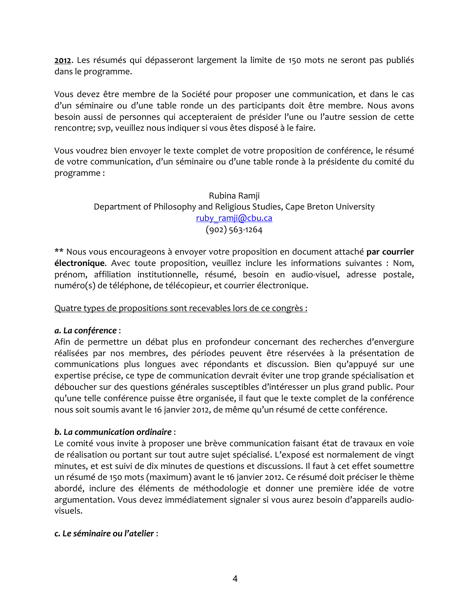2012. Les résumés qui dépasseront largement la limite de 150 mots ne seront pas publiés dans le programme.

Vous devez être membre de la Société pour proposer une communication, et dans le cas d'un séminaire ou d'une table ronde un des participants doit être membre. Nous avons besoin aussi de personnes qui accepteraient de présider l'une ou l'autre session de cette rencontre; svp, veuillez nous indiquer si vous êtes disposé à le faire.

Vous voudrez bien envoyer le texte complet de votre proposition de conférence, le résumé de votre communication, d'un séminaire ou d'une table ronde à la présidente du comité du programme:

### Rubina Ramji Department of Philosophy and Religious Studies, Cape Breton University ruby\_ramji@cbu.ca  $(902)$  563-1264

\*\* Nous vous encourageons à envoyer votre proposition en document attaché par courrier **électronique.** Avec toute proposition, veuillez inclure les informations suivantes : Nom, prénom, affiliation institutionnelle, résumé, besoin en audio-visuel, adresse postale, numéro(s) de téléphone, de télécopieur, et courrier électronique.

Quatre types de propositions sont recevables lors de ce congrès :

## *a.#La#conférence*":"

Afin de permettre un débat plus en profondeur concernant des recherches d'envergure réalisées par nos membres, des périodes peuvent être réservées à la présentation de communications plus longues avec répondants et discussion. Bien qu'appuyé sur une expertise précise, ce type de communication devrait éviter une trop grande spécialisation et déboucher sur des questions générales susceptibles d'intéresser un plus grand public. Pour qu'une telle conférence puisse être organisée, il faut que le texte complet de la conférence nous soit soumis avant le 16 janvier 2012, de même qu'un résumé de cette conférence.

## *b. La communication ordinaire :*

Le comité vous invite à proposer une brève communication faisant état de travaux en voie de réalisation ou portant sur tout autre sujet spécialisé. L'exposé est normalement de vingt minutes, et est suivi de dix minutes de questions et discussions. Il faut à cet effet soumettre un résumé de 150 mots (maximum) avant le 16 janvier 2012. Ce résumé doit préciser le thème abordé, inclure des éléments de méthodologie et donner une première idée de votre argumentation. Vous devez immédiatement signaler si vous aurez besoin d'appareils audiovisuels."

#### *c.#Le#séminaire#ou#l'atelier*":"